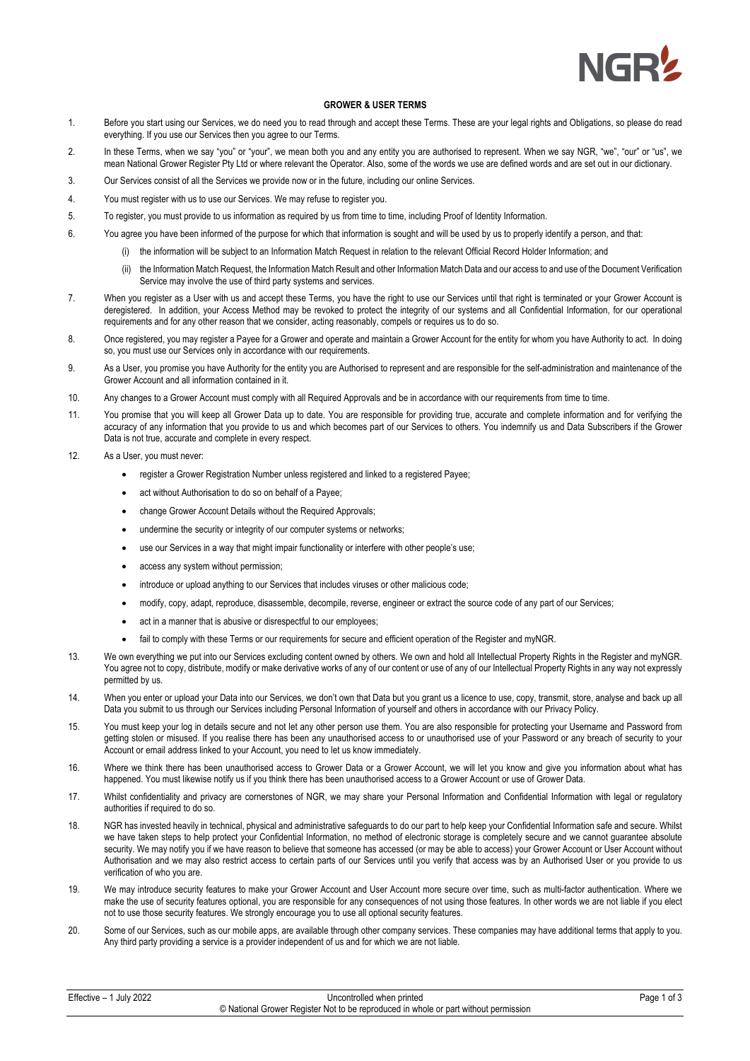

## **GROWER & USER TERMS**

- 1. Before you start using our Services, we do need you to read through and accept these Terms. These are your legal rights and Obligations, so please do read everything. If you use our Services then you agree to our Terms.
- 2. In these Terms, when we say "you" or "your", we mean both you and any entity you are authorised to represent. When we say NGR, "we", "our" or "us", we mean National Grower Register Pty Ltd or where relevant the Operator. Also, some of the words we use are defined words and are set out in our dictionary.
- 3. Our Services consist of all the Services we provide now or in the future, including our online Services.
- 4. You must register with us to use our Services. We may refuse to register you.
- 5. To register, you must provide to us information as required by us from time to time, including Proof of Identity Information.
- 6. You agree you have been informed of the purpose for which that information is sought and will be used by us to properly identify a person, and that:
	- (i) the information will be subject to an Information Match Request in relation to the relevant Official Record Holder Information; and
		- (ii) the Information Match Request, the Information Match Result and other Information Match Data and our access to and use of the Document Verification Service may involve the use of third party systems and services.
- 7. When you register as a User with us and accept these Terms, you have the right to use our Services until that right is terminated or your Grower Account is deregistered. In addition, your Access Method may be revoked to protect the integrity of our systems and all Confidential Information, for our operational requirements and for any other reason that we consider, acting reasonably, compels or requires us to do so.
- 8. Once registered, you may register a Payee for a Grower and operate and maintain a Grower Account for the entity for whom you have Authority to act. In doing so, you must use our Services only in accordance with our requirements.
- 9. As a User, you promise you have Authority for the entity you are Authorised to represent and are responsible for the self-administration and maintenance of the Grower Account and all information contained in it.
- 10. Any changes to a Grower Account must comply with all Required Approvals and be in accordance with our requirements from time to time.
- 11. You promise that you will keep all Grower Data up to date. You are responsible for providing true, accurate and complete information and for verifying the accuracy of any information that you provide to us and which becomes part of our Services to others. You indemnify us and Data Subscribers if the Grower Data is not true, accurate and complete in every respect.
- 12. As a User, you must never:
	- register a Grower Registration Number unless registered and linked to a registered Payee;
	- act without Authorisation to do so on behalf of a Payee;
	- change Grower Account Details without the Required Approvals;
	- undermine the security or integrity of our computer systems or networks;
	- use our Services in a way that might impair functionality or interfere with other people's use;
	- access any system without permission;
	- introduce or upload anything to our Services that includes viruses or other malicious code;
	- modify, copy, adapt, reproduce, disassemble, decompile, reverse, engineer or extract the source code of any part of our Services;
	- act in a manner that is abusive or disrespectful to our employees;
	- fail to comply with these Terms or our requirements for secure and efficient operation of the Register and myNGR.
- 13. We own everything we put into our Services excluding content owned by others. We own and hold all Intellectual Property Rights in the Register and myNGR. You agree not to copy, distribute, modify or make derivative works of any of our content or use of any of our Intellectual Property Rights in any way not expressly permitted by us.
- 14. When you enter or upload your Data into our Services, we don't own that Data but you grant us a licence to use, copy, transmit, store, analyse and back up all Data you submit to us through our Services including Personal Information of yourself and others in accordance with our Privacy Policy.
- 15. You must keep your log in details secure and not let any other person use them. You are also responsible for protecting your Username and Password from getting stolen or misused. If you realise there has been any unauthorised access to or unauthorised use of your Password or any breach of security to your Account or email address linked to your Account, you need to let us know immediately.
- 16. Where we think there has been unauthorised access to Grower Data or a Grower Account, we will let you know and give you information about what has happened. You must likewise notify us if you think there has been unauthorised access to a Grower Account or use of Grower Data.
- 17. Whilst confidentiality and privacy are cornerstones of NGR, we may share your Personal Information and Confidential Information with legal or regulatory authorities if required to do so.
- 18. NGR has invested heavily in technical, physical and administrative safeguards to do our part to help keep your Confidential Information safe and secure. Whilst we have taken steps to help protect your Confidential Information, no method of electronic storage is completely secure and we cannot guarantee absolute security. We may notify you if we have reason to believe that someone has accessed (or may be able to access) your Grower Account or User Account without Authorisation and we may also restrict access to certain parts of our Services until you verify that access was by an Authorised User or you provide to us verification of who you are.
- 19. We may introduce security features to make your Grower Account and User Account more secure over time, such as multi-factor authentication. Where we make the use of security features optional, you are responsible for any consequences of not using those features. In other words we are not liable if you elect not to use those security features. We strongly encourage you to use all optional security features.
- 20. Some of our Services, such as our mobile apps, are available through other company services. These companies may have additional terms that apply to you. Any third party providing a service is a provider independent of us and for which we are not liable.

| Effective - 1 July 2022 | Uncontrolled when printed                                                           | $1$ of $3$<br>Page |
|-------------------------|-------------------------------------------------------------------------------------|--------------------|
|                         | © National Grower Register Not to be reproduced in whole or part without permission |                    |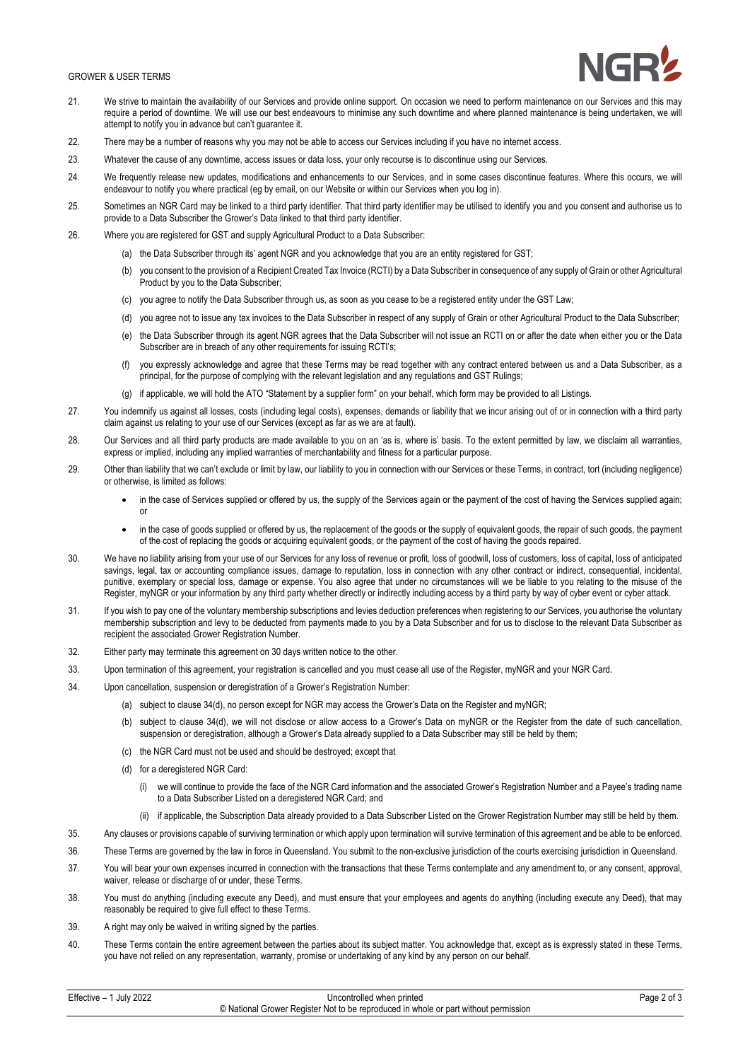## GROWER & USER TERMS



- 21. We strive to maintain the availability of our Services and provide online support. On occasion we need to perform maintenance on our Services and this may require a period of downtime. We will use our best endeavours to minimise any such downtime and where planned maintenance is being undertaken, we will attempt to notify you in advance but can't guarantee it.
- 22. There may be a number of reasons why you may not be able to access our Services including if you have no internet access.
- 23. Whatever the cause of any downtime, access issues or data loss, your only recourse is to discontinue using our Services.
- 24. We frequently release new updates, modifications and enhancements to our Services, and in some cases discontinue features. Where this occurs, we will endeavour to notify you where practical (eg by email, on our Website or within our Services when you log in).
- 25. Sometimes an NGR Card may be linked to a third party identifier. That third party identifier may be utilised to identify you and you consent and authorise us to provide to a Data Subscriber the Grower's Data linked to that third party identifier.
- 26. Where you are registered for GST and supply Agricultural Product to a Data Subscriber:
	- (a) the Data Subscriber through its' agent NGR and you acknowledge that you are an entity registered for GST;
	- (b) vou consent to the provision of a Recipient Created Tax Invoice (RCTI) by a Data Subscriber in consequence of any supply of Grain or other Agricultural Product by you to the Data Subscriber;
	- (c) you agree to notify the Data Subscriber through us, as soon as you cease to be a registered entity under the GST Law;
	- (d) you agree not to issue any tax invoices to the Data Subscriber in respect of any supply of Grain or other Agricultural Product to the Data Subscriber;
	- (e) the Data Subscriber through its agent NGR agrees that the Data Subscriber will not issue an RCTI on or after the date when either you or the Data Subscriber are in breach of any other requirements for issuing RCTI's;
	- (f) you expressly acknowledge and agree that these Terms may be read together with any contract entered between us and a Data Subscriber, as a principal, for the purpose of complying with the relevant legislation and any regulations and GST Rulings;
	- (g) if applicable, we will hold the ATO "Statement by a supplier form" on your behalf, which form may be provided to all Listings.
- 27. You indemnify us against all losses, costs (including legal costs), expenses, demands or liability that we incur arising out of or in connection with a third party claim against us relating to your use of our Services (except as far as we are at fault).
- 28. Our Services and all third party products are made available to you on an 'as is, where is' basis. To the extent permitted by law, we disclaim all warranties, express or implied, including any implied warranties of merchantability and fitness for a particular purpose.
- 29. Other than liability that we can't exclude or limit by law, our liability to you in connection with our Services or these Terms, in contract, tort (including negligence) or otherwise, is limited as follows:
	- in the case of Services supplied or offered by us, the supply of the Services again or the payment of the cost of having the Services supplied again; or
	- in the case of goods supplied or offered by us, the replacement of the goods or the supply of equivalent goods, the repair of such goods, the payment of the cost of replacing the goods or acquiring equivalent goods, or the payment of the cost of having the goods repaired.
- 30. We have no liability arising from your use of our Services for any loss of revenue or profit, loss of goodwill, loss of customers, loss of capital, loss of anticipated savings, legal, tax or accounting compliance issues, damage to reputation, loss in connection with any other contract or indirect, consequential, incidental, punitive, exemplary or special loss, damage or expense. You also agree that under no circumstances will we be liable to you relating to the misuse of the Register, myNGR or your information by any third party whether directly or indirectly including access by a third party by way of cyber event or cyber attack.
- 31. If you wish to pay one of the voluntary membership subscriptions and levies deduction preferences when registering to our Services, you authorise the voluntary membership subscription and levy to be deducted from payments made to you by a Data Subscriber and for us to disclose to the relevant Data Subscriber as recipient the associated Grower Registration Number.
- 32. Either party may terminate this agreement on 30 days written notice to the other.
- 33. Upon termination of this agreement, your registration is cancelled and you must cease all use of the Register, myNGR and your NGR Card.
- 34. Upon cancellation, suspension or deregistration of a Grower's Registration Number:
	- (a) subject to clause 34(d), no person except for NGR may access the Grower's Data on the Register and myNGR;
	- (b) subject to clause 34(d), we will not disclose or allow access to a Grower's Data on myNGR or the Register from the date of such cancellation, suspension or deregistration, although a Grower's Data already supplied to a Data Subscriber may still be held by them;
	- (c) the NGR Card must not be used and should be destroyed; except that
	- (d) for a deregistered NGR Card:
		- (i) we will continue to provide the face of the NGR Card information and the associated Grower's Registration Number and a Payee's trading name to a Data Subscriber Listed on a deregistered NGR Card; and
		- (ii) if applicable, the Subscription Data already provided to a Data Subscriber Listed on the Grower Registration Number may still be held by them.
- 35. Any clauses or provisions capable of surviving termination or which apply upon termination will survive termination of this agreement and be able to be enforced.
- 36. These Terms are governed by the law in force in Queensland. You submit to the non-exclusive jurisdiction of the courts exercising jurisdiction in Queensland.
- 37. You will bear your own expenses incurred in connection with the transactions that these Terms contemplate and any amendment to, or any consent, approval, waiver, release or discharge of or under, these Terms.
- 38. You must do anything (including execute any Deed), and must ensure that your employees and agents do anything (including execute any Deed), that may reasonably be required to give full effect to these Terms.
- 39. A right may only be waived in writing signed by the parties.
- 40. These Terms contain the entire agreement between the parties about its subject matter. You acknowledge that, except as is expressly stated in these Terms, you have not relied on any representation, warranty, promise or undertaking of any kind by any person on our behalf.

| 1 July 2022<br>Effective – | Uncontrolled when printed                                                           | Page 2 of 3 |
|----------------------------|-------------------------------------------------------------------------------------|-------------|
|                            | © National Grower Register Not to be reproduced in whole or part without permission |             |